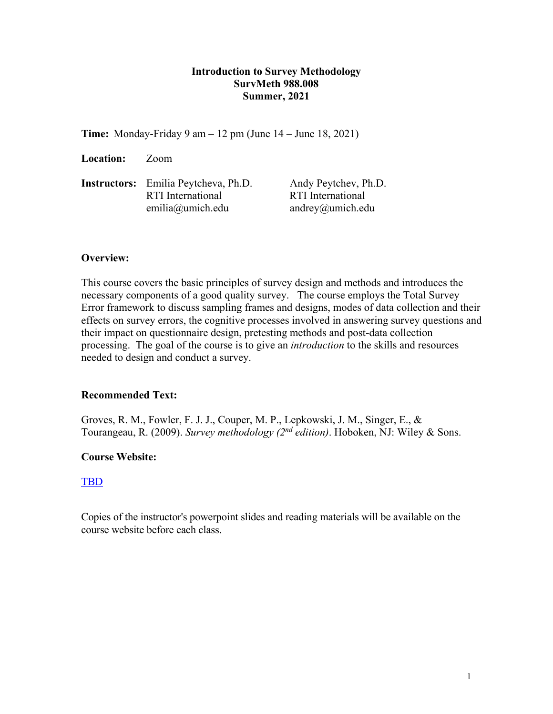## **Introduction to Survey Methodology SurvMeth 988.008 Summer, 2021**

**Time:** Monday-Friday 9 am – 12 pm (June 14 – June 18, 2021)

**Location:** Zoom

**Instructors:** Emilia Peytcheva, Ph.D. Andy Peytchev, Ph.D. RTI International RTI International emilia@umich.edu andrey@umich.edu

## **Overview:**

This course covers the basic principles of survey design and methods and introduces the necessary components of a good quality survey. The course employs the Total Survey Error framework to discuss sampling frames and designs, modes of data collection and their effects on survey errors, the cognitive processes involved in answering survey questions and their impact on questionnaire design, pretesting methods and post-data collection processing. The goal of the course is to give an *introduction* to the skills and resources needed to design and conduct a survey.

# **Recommended Text:**

Groves, R. M., Fowler, F. J. J., Couper, M. P., Lepkowski, J. M., Singer, E., & Tourangeau, R. (2009). *Survey methodology (2nd edition)*. Hoboken, NJ: Wiley & Sons.

# **Course Website:**

## [TBD](https://umich.instructure.com/courses/361120)

Copies of the instructor's powerpoint slides and reading materials will be available on the course website before each class.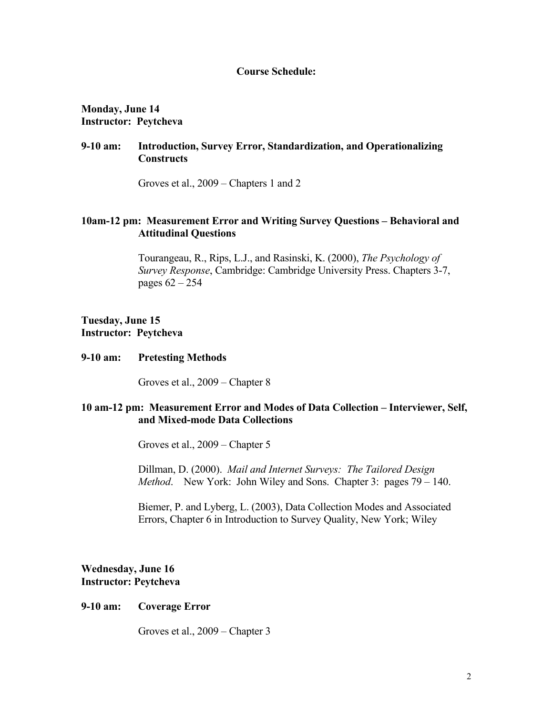### **Course Schedule:**

**Monday, June 14 Instructor: Peytcheva**

## **9-10 am: Introduction, Survey Error, Standardization, and Operationalizing Constructs**

Groves et al., 2009 – Chapters 1 and 2

## **10am-12 pm: Measurement Error and Writing Survey Questions – Behavioral and Attitudinal Questions**

Tourangeau, R., Rips, L.J., and Rasinski, K. (2000), *The Psychology of Survey Response*, Cambridge: Cambridge University Press. Chapters 3-7, pages 62 – 254

### **Tuesday, June 15 Instructor: Peytcheva**

#### **9-10 am: Pretesting Methods**

Groves et al., 2009 – Chapter 8

#### **10 am-12 pm: Measurement Error and Modes of Data Collection – Interviewer, Self, and Mixed-mode Data Collections**

Groves et al., 2009 – Chapter 5

Dillman, D. (2000). *Mail and Internet Surveys: The Tailored Design Method*. New York: John Wiley and Sons. Chapter 3: pages 79 – 140.

Biemer, P. and Lyberg, L. (2003), Data Collection Modes and Associated Errors, Chapter 6 in Introduction to Survey Quality, New York; Wiley

**Wednesday, June 16 Instructor: Peytcheva**

#### **9-10 am: Coverage Error**

Groves et al., 2009 – Chapter 3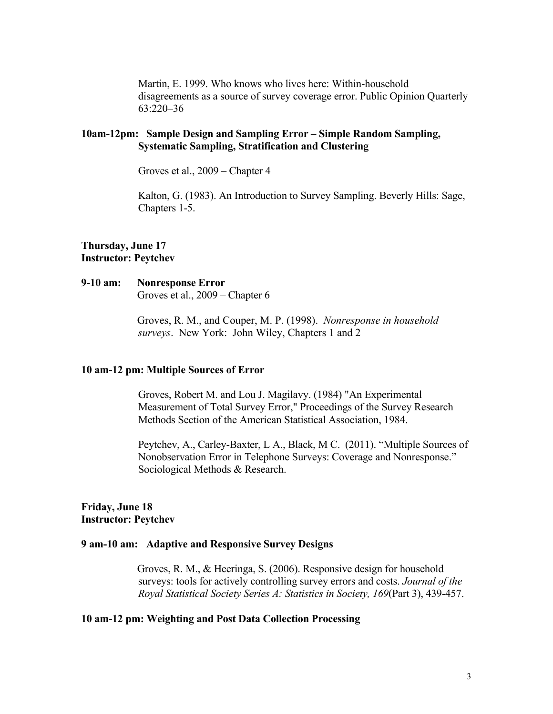Martin, E. 1999. Who knows who lives here: Within-household disagreements as a source of survey coverage error. Public Opinion Quarterly 63:220–36

## **10am-12pm: Sample Design and Sampling Error – Simple Random Sampling, Systematic Sampling, Stratification and Clustering**

Groves et al., 2009 – Chapter 4

Kalton, G. (1983). An Introduction to Survey Sampling. Beverly Hills: Sage, Chapters 1-5.

#### **Thursday, June 17 Instructor: Peytchev**

# **9-10 am: Nonresponse Error**

Groves et al., 2009 – Chapter 6

Groves, R. M., and Couper, M. P. (1998). *Nonresponse in household surveys*. New York: John Wiley, Chapters 1 and 2

#### **10 am-12 pm: Multiple Sources of Error**

Groves, Robert M. and Lou J. Magilavy. (1984) "An Experimental Measurement of Total Survey Error," Proceedings of the Survey Research Methods Section of the American Statistical Association, 1984.

Peytchev, A., Carley-Baxter, L A., Black, M C. (2011). "Multiple Sources of Nonobservation Error in Telephone Surveys: Coverage and Nonresponse." Sociological Methods & Research.

#### **Friday, June 18 Instructor: Peytchev**

#### **9 am-10 am: Adaptive and Responsive Survey Designs**

Groves, R. M., & Heeringa, S. (2006). Responsive design for household surveys: tools for actively controlling survey errors and costs. *Journal of the Royal Statistical Society Series A: Statistics in Society, 169*(Part 3), 439-457.

#### **10 am-12 pm: Weighting and Post Data Collection Processing**